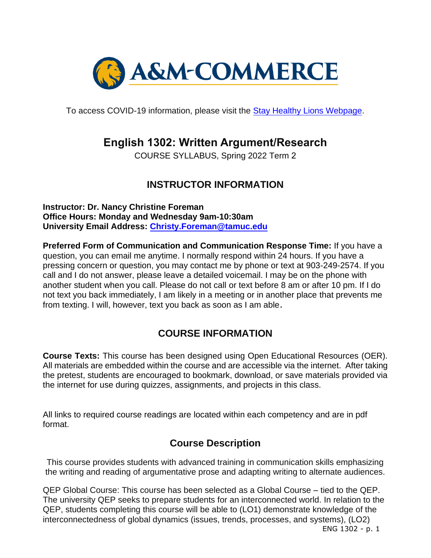

To access COVID-19 information, please visit the [Stay Healthy Lions Webpage.](https://new.tamuc.edu/coronavirus/)

# **English 1302: Written Argument/Research**

COURSE SYLLABUS, Spring 2022 Term 2

# **INSTRUCTOR INFORMATION**

**Instructor: Dr. Nancy Christine Foreman Office Hours: Monday and Wednesday 9am-10:30am University Email Address: [Christy.Foreman@tamuc.edu](mailto:Christy.Foreman@tamuc.edu)**

**Preferred Form of Communication and Communication Response Time:** If you have a question, you can email me anytime. I normally respond within 24 hours. If you have a pressing concern or question, you may contact me by phone or text at 903-249-2574. If you call and I do not answer, please leave a detailed voicemail. I may be on the phone with another student when you call. Please do not call or text before 8 am or after 10 pm. If I do not text you back immediately, I am likely in a meeting or in another place that prevents me from texting. I will, however, text you back as soon as I am able.

# **COURSE INFORMATION**

**Course Texts:** This course has been designed using Open Educational Resources (OER). All materials are embedded within the course and are accessible via the internet. After taking the pretest, students are encouraged to bookmark, download, or save materials provided via the internet for use during quizzes, assignments, and projects in this class.

All links to required course readings are located within each competency and are in pdf format.

# **Course Description**

This course provides students with advanced training in communication skills emphasizing the writing and reading of argumentative prose and adapting writing to alternate audiences.

ENG 1302 - p. 1 QEP Global Course: This course has been selected as a Global Course – tied to the QEP. The university QEP seeks to prepare students for an interconnected world. In relation to the QEP, students completing this course will be able to (LO1) demonstrate knowledge of the interconnectedness of global dynamics (issues, trends, processes, and systems), (LO2)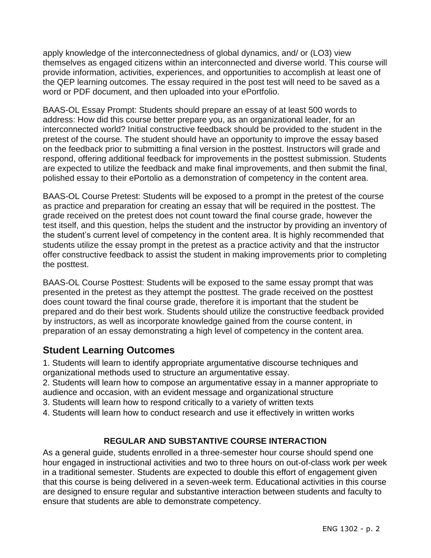apply knowledge of the interconnectedness of global dynamics, and/ or (LO3) view themselves as engaged citizens within an interconnected and diverse world. This course will provide information, activities, experiences, and opportunities to accomplish at least one of the QEP learning outcomes. The essay required in the post test will need to be saved as a word or PDF document, and then uploaded into your ePortfolio.

BAAS-OL Essay Prompt: Students should prepare an essay of at least 500 words to address: How did this course better prepare you, as an organizational leader, for an interconnected world? Initial constructive feedback should be provided to the student in the pretest of the course. The student should have an opportunity to improve the essay based on the feedback prior to submitting a final version in the posttest. Instructors will grade and respond, offering additional feedback for improvements in the posttest submission. Students are expected to utilize the feedback and make final improvements, and then submit the final, polished essay to their ePortolio as a demonstration of competency in the content area.

BAAS-OL Course Pretest: Students will be exposed to a prompt in the pretest of the course as practice and preparation for creating an essay that will be required in the posttest. The grade received on the pretest does not count toward the final course grade, however the test itself, and this question, helps the student and the instructor by providing an inventory of the student's current level of competency in the content area. It is highly recommended that students utilize the essay prompt in the pretest as a practice activity and that the instructor offer constructive feedback to assist the student in making improvements prior to completing the posttest.

BAAS-OL Course Posttest: Students will be exposed to the same essay prompt that was presented in the pretest as they attempt the posttest. The grade received on the posttest does count toward the final course grade, therefore it is important that the student be prepared and do their best work. Students should utilize the constructive feedback provided by instructors, as well as incorporate knowledge gained from the course content, in preparation of an essay demonstrating a high level of competency in the content area.

# **Student Learning Outcomes**

1. Students will learn to identify appropriate argumentative discourse techniques and organizational methods used to structure an argumentative essay.

2. Students will learn how to compose an argumentative essay in a manner appropriate to audience and occasion, with an evident message and organizational structure

- 3. Students will learn how to respond critically to a variety of written texts
- 4. Students will learn how to conduct research and use it effectively in written works

### **REGULAR AND SUBSTANTIVE COURSE INTERACTION**

As a general guide, students enrolled in a three-semester hour course should spend one hour engaged in instructional activities and two to three hours on out-of-class work per week in a traditional semester. Students are expected to double this effort of engagement given that this course is being delivered in a seven-week term. Educational activities in this course are designed to ensure regular and substantive interaction between students and faculty to ensure that students are able to demonstrate competency.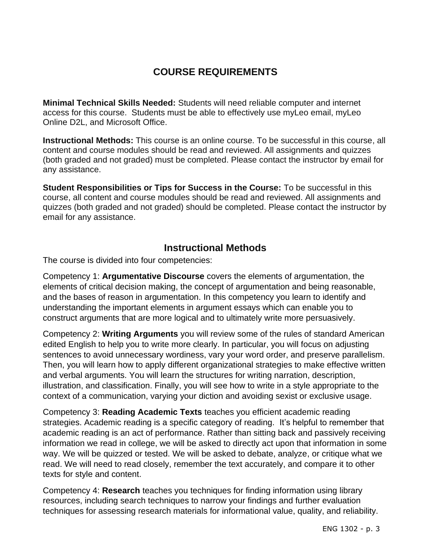# **COURSE REQUIREMENTS**

**Minimal Technical Skills Needed:** Students will need reliable computer and internet access for this course. Students must be able to effectively use myLeo email, myLeo Online D2L, and Microsoft Office.

**Instructional Methods:** This course is an online course. To be successful in this course, all content and course modules should be read and reviewed. All assignments and quizzes (both graded and not graded) must be completed. Please contact the instructor by email for any assistance.

**Student Responsibilities or Tips for Success in the Course:** To be successful in this course, all content and course modules should be read and reviewed. All assignments and quizzes (both graded and not graded) should be completed. Please contact the instructor by email for any assistance.

# **Instructional Methods**

The course is divided into four competencies:

Competency 1: **Argumentative Discourse** covers the elements of argumentation, the elements of critical decision making, the concept of argumentation and being reasonable, and the bases of reason in argumentation. In this competency you learn to identify and understanding the important elements in argument essays which can enable you to construct arguments that are more logical and to ultimately write more persuasively.

Competency 2: **Writing Arguments** you will review some of the rules of standard American edited English to help you to write more clearly. In particular, you will focus on adjusting sentences to avoid unnecessary wordiness, vary your word order, and preserve parallelism. Then, you will learn how to apply different organizational strategies to make effective written and verbal arguments. You will learn the structures for writing narration, description, illustration, and classification. Finally, you will see how to write in a style appropriate to the context of a communication, varying your diction and avoiding sexist or exclusive usage.

Competency 3: **Reading Academic Texts** teaches you efficient academic reading strategies. Academic reading is a specific category of reading. It's helpful to remember that academic reading is an act of performance. Rather than sitting back and passively receiving information we read in college, we will be asked to directly act upon that information in some way. We will be quizzed or tested. We will be asked to debate, analyze, or critique what we read. We will need to read closely, remember the text accurately, and compare it to other texts for style and content.

Competency 4: **Research** teaches you techniques for finding information using library resources, including search techniques to narrow your findings and further evaluation techniques for assessing research materials for informational value, quality, and reliability.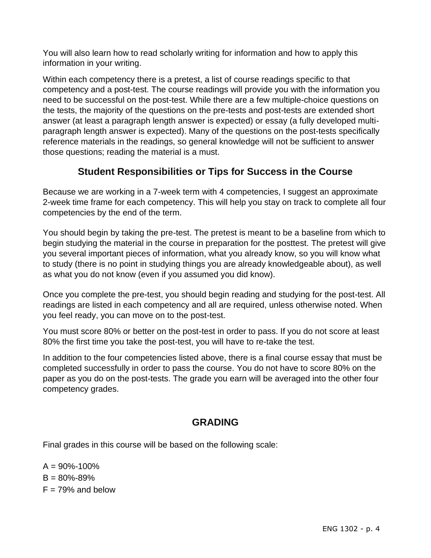You will also learn how to read scholarly writing for information and how to apply this information in your writing.

Within each competency there is a pretest, a list of course readings specific to that competency and a post-test. The course readings will provide you with the information you need to be successful on the post-test. While there are a few multiple-choice questions on the tests, the majority of the questions on the pre-tests and post-tests are extended short answer (at least a paragraph length answer is expected) or essay (a fully developed multiparagraph length answer is expected). Many of the questions on the post-tests specifically reference materials in the readings, so general knowledge will not be sufficient to answer those questions; reading the material is a must.

# **Student Responsibilities or Tips for Success in the Course**

Because we are working in a 7-week term with 4 competencies, I suggest an approximate 2-week time frame for each competency. This will help you stay on track to complete all four competencies by the end of the term.

You should begin by taking the pre-test. The pretest is meant to be a baseline from which to begin studying the material in the course in preparation for the posttest. The pretest will give you several important pieces of information, what you already know, so you will know what to study (there is no point in studying things you are already knowledgeable about), as well as what you do not know (even if you assumed you did know).

Once you complete the pre-test, you should begin reading and studying for the post-test. All readings are listed in each competency and all are required, unless otherwise noted. When you feel ready, you can move on to the post-test.

You must score 80% or better on the post-test in order to pass. If you do not score at least 80% the first time you take the post-test, you will have to re-take the test.

In addition to the four competencies listed above, there is a final course essay that must be completed successfully in order to pass the course. You do not have to score 80% on the paper as you do on the post-tests. The grade you earn will be averaged into the other four competency grades.

# **GRADING**

Final grades in this course will be based on the following scale:

 $A = 90\% - 100\%$  $B = 80\% - 89\%$  $F = 79\%$  and below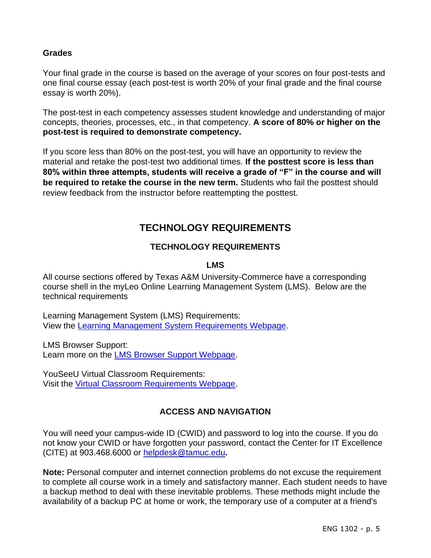### **Grades**

Your final grade in the course is based on the average of your scores on four post-tests and one final course essay (each post-test is worth 20% of your final grade and the final course essay is worth 20%).

The post-test in each competency assesses student knowledge and understanding of major concepts, theories, processes, etc., in that competency. **A score of 80% or higher on the post-test is required to demonstrate competency.** 

If you score less than 80% on the post-test, you will have an opportunity to review the material and retake the post-test two additional times. **If the posttest score is less than 80% within three attempts, students will receive a grade of "F" in the course and will be required to retake the course in the new term.** Students who fail the posttest should review feedback from the instructor before reattempting the posttest.

# **TECHNOLOGY REQUIREMENTS**

### **TECHNOLOGY REQUIREMENTS**

### **LMS**

All course sections offered by Texas A&M University-Commerce have a corresponding course shell in the myLeo Online Learning Management System (LMS). Below are the technical requirements

Learning Management System (LMS) Requirements: View the [Learning Management System Requirements Webpage.](https://community.brightspace.com/s/article/Brightspace-Platform-Requirements)

LMS Browser Support: Learn more on the [LMS Browser Support Webpage.](https://documentation.brightspace.com/EN/brightspace/requirements/all/browser_support.htm)

YouSeeU Virtual Classroom Requirements: Visit the [Virtual Classroom Requirements Webpage.](https://support.youseeu.com/hc/en-us/articles/115007031107-Basic-System-Requirements)

## **ACCESS AND NAVIGATION**

You will need your campus-wide ID (CWID) and password to log into the course. If you do not know your CWID or have forgotten your password, contact the Center for IT Excellence (CITE) at 903.468.6000 or [helpdesk@tamuc.edu](mailto:helpdesk@tamuc.edu)**.**

**Note:** Personal computer and internet connection problems do not excuse the requirement to complete all course work in a timely and satisfactory manner. Each student needs to have a backup method to deal with these inevitable problems. These methods might include the availability of a backup PC at home or work, the temporary use of a computer at a friend's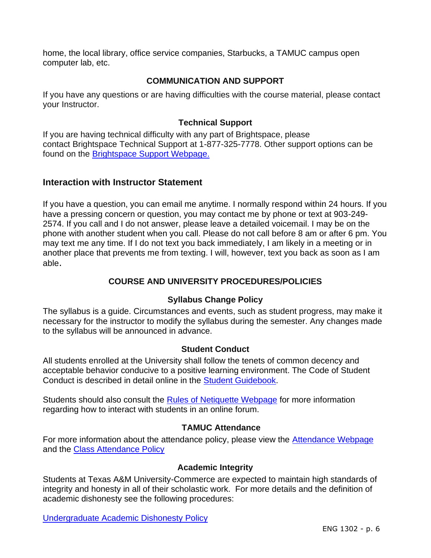home, the local library, office service companies, Starbucks, a TAMUC campus open computer lab, etc.

### **COMMUNICATION AND SUPPORT**

If you have any questions or are having difficulties with the course material, please contact your Instructor.

### **Technical Support**

If you are having technical difficulty with any part of Brightspace, please contact Brightspace Technical Support at 1-877-325-7778. Other support options can be found on the [Brightspace Support Webpage.](https://community.brightspace.com/support/s/contactsupport)

### **Interaction with Instructor Statement**

If you have a question, you can email me anytime. I normally respond within 24 hours. If you have a pressing concern or question, you may contact me by phone or text at 903-249- 2574. If you call and I do not answer, please leave a detailed voicemail. I may be on the phone with another student when you call. Please do not call before 8 am or after 6 pm. You may text me any time. If I do not text you back immediately, I am likely in a meeting or in another place that prevents me from texting. I will, however, text you back as soon as I am able.

### **COURSE AND UNIVERSITY PROCEDURES/POLICIES**

### **Syllabus Change Policy**

The syllabus is a guide. Circumstances and events, such as student progress, may make it necessary for the instructor to modify the syllabus during the semester. Any changes made to the syllabus will be announced in advance.

#### **Student Conduct**

All students enrolled at the University shall follow the tenets of common decency and acceptable behavior conducive to a positive learning environment. The Code of Student Conduct is described in detail online in the [Student Guidebook.](http://www.tamuc.edu/Admissions/oneStopShop/undergraduateAdmissions/studentGuidebook.aspx)

Students should also consult the [Rules of Netiquette Webpage](https://www.britannica.com/topic/netiquette) for more information regarding how to interact with students in an online forum.

#### **TAMUC Attendance**

For more information about the attendance policy, please view the [Attendance Webpage](http://www.tamuc.edu/admissions/registrar/generalInformation/attendance.aspx) and the **Class Attendance Policy** 

#### **Academic Integrity**

Students at Texas A&M University-Commerce are expected to maintain high standards of integrity and honesty in all of their scholastic work. For more details and the definition of academic dishonesty see the following procedures:

[Undergraduate Academic Dishonesty P](http://www.tamuc.edu/aboutUs/policiesProceduresStandardsStatements/rulesProcedures/13students/undergraduates/13.99.99.R0.03UndergraduateAcademicDishonesty.pdf)olicy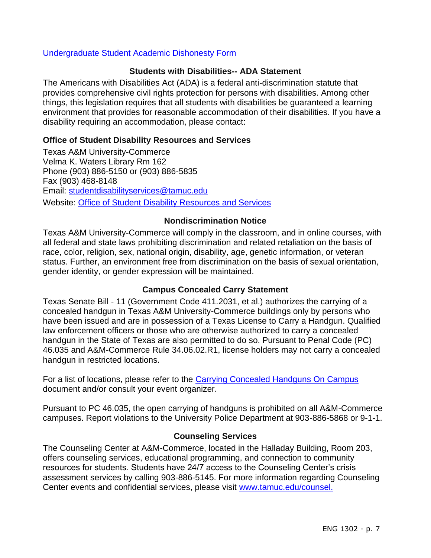#### [Undergraduate Student Academic Dishonesty Form](http://www.tamuc.edu/aboutUs/policiesProceduresStandardsStatements/rulesProcedures/documents/13.99.99.R0.03UndergraduateStudentAcademicDishonestyForm.pdf)

### **Students with Disabilities-- ADA Statement**

The Americans with Disabilities Act (ADA) is a federal anti-discrimination statute that provides comprehensive civil rights protection for persons with disabilities. Among other things, this legislation requires that all students with disabilities be guaranteed a learning environment that provides for reasonable accommodation of their disabilities. If you have a disability requiring an accommodation, please contact:

#### **Office of Student Disability Resources and Services**

Texas A&M University-Commerce Velma K. Waters Library Rm 162 Phone (903) 886-5150 or (903) 886-5835 Fax (903) 468-8148 Email: [studentdisabilityservices@tamuc.edu](mailto:studentdisabilityservices@tamuc.edu) Website: [Office of Student Disability Resources and Services](http://www.tamuc.edu/campusLife/campusServices/studentDisabilityResourcesAndServices/)

#### **Nondiscrimination Notice**

Texas A&M University-Commerce will comply in the classroom, and in online courses, with all federal and state laws prohibiting discrimination and related retaliation on the basis of race, color, religion, sex, national origin, disability, age, genetic information, or veteran status. Further, an environment free from discrimination on the basis of sexual orientation, gender identity, or gender expression will be maintained.

#### **Campus Concealed Carry Statement**

Texas Senate Bill - 11 (Government Code 411.2031, et al.) authorizes the carrying of a concealed handgun in Texas A&M University-Commerce buildings only by persons who have been issued and are in possession of a Texas License to Carry a Handgun. Qualified law enforcement officers or those who are otherwise authorized to carry a concealed handgun in the State of Texas are also permitted to do so. Pursuant to Penal Code (PC) 46.035 and A&M-Commerce Rule 34.06.02.R1, license holders may not carry a concealed handgun in restricted locations.

For a list of locations, please refer to the [Carrying Concealed Handguns On Campus](http://www.tamuc.edu/aboutUs/policiesProceduresStandardsStatements/rulesProcedures/34SafetyOfEmployeesAndStudents/34.06.02.R1.pdf) document and/or consult your event organizer.

Pursuant to PC 46.035, the open carrying of handguns is prohibited on all A&M-Commerce campuses. Report violations to the University Police Department at 903-886-5868 or 9-1-1.

#### **Counseling Services**

The Counseling Center at A&M-Commerce, located in the Halladay Building, Room 203, offers counseling services, educational programming, and connection to community resources for students. Students have 24/7 access to the Counseling Center's crisis assessment services by calling 903-886-5145. For more information regarding Counseling Center events and confidential services, please visit [www.tamuc.edu/counsel.](http://www.tamuc.edu/counsel)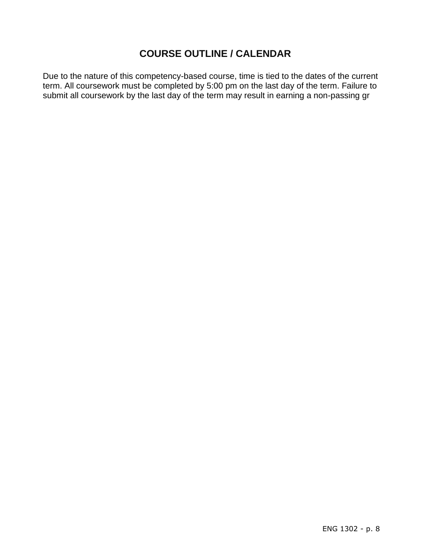# **COURSE OUTLINE / CALENDAR**

Due to the nature of this competency-based course, time is tied to the dates of the current term. All coursework must be completed by 5:00 pm on the last day of the term. Failure to submit all coursework by the last day of the term may result in earning a non-passing gr